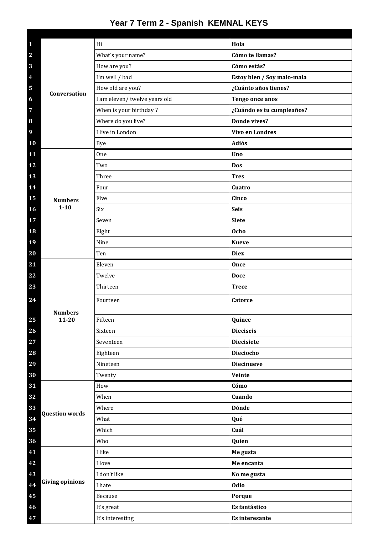## **Year 7 Term 2 - Spanish KEMNAL KEYS**

|                                |                             | Hi                                | Hola                        |
|--------------------------------|-----------------------------|-----------------------------------|-----------------------------|
| $\mathbf{1}$<br>$\overline{2}$ | <b>Conversation</b>         |                                   | Cómo te llamas?             |
|                                |                             | What's your name?<br>How are you? | Cómo estás?                 |
| 3<br>4                         |                             | I'm well / bad                    | Estoy bien / Soy malo-mala  |
| 5                              |                             | How old are you?                  | ¿Cuánto años tienes?        |
|                                |                             | I am eleven/ twelve years old     | Tengo once anos             |
| 6<br>7                         |                             | When is your birthday?            | ¿Cuándo es tu cumpleaños?   |
| 8                              |                             | Where do you live?                | Donde vives?                |
| 9                              |                             | I live in London                  | <b>Vivo en Londres</b>      |
|                                |                             |                                   | Adiós                       |
| 10<br>11                       |                             | <b>Bye</b><br>One                 | Uno                         |
| 12                             |                             | Two                               | Dos                         |
|                                |                             | Three                             |                             |
| 13                             |                             |                                   | <b>Tres</b>                 |
| 14                             |                             | Four                              | Cuatro                      |
| 15                             | <b>Numbers</b><br>$1 - 10$  | Five                              | Cinco                       |
| 16                             |                             | Six                               | <b>Seis</b>                 |
| 17                             |                             | Seven                             | <b>Siete</b>                |
| 18                             |                             | Eight                             | <b>Ocho</b>                 |
| 19                             |                             | Nine                              | <b>Nueve</b>                |
| 20                             |                             | Ten                               | <b>Diez</b>                 |
| 21                             |                             | Eleven                            | Once                        |
| 22<br>23                       |                             | Twelve<br>Thirteen                | <b>Doce</b><br><b>Trece</b> |
|                                |                             |                                   |                             |
| 24                             | <b>Numbers</b><br>$11 - 20$ | Fourteen                          | Catorce                     |
| 25                             |                             | Fifteen                           | Quince                      |
| 26                             |                             | Sixteen                           | <b>Dieciseis</b>            |
| 27                             |                             | Seventeen                         | <b>Diecisiete</b>           |
| 28                             |                             | Eighteen                          | <b>Dieciocho</b>            |
| 29                             |                             | Nineteen                          | <b>Diecinueve</b>           |
| 30                             |                             | Twenty                            | Veinte                      |
| 31                             |                             | How                               | Cómo                        |
| 32                             |                             | When                              | Cuando                      |
| 33                             | <b>Question words</b>       | Where                             | Dónde                       |
| 34                             |                             | What                              | Qué                         |
| 35                             |                             | Which                             | Cuál                        |
| 36                             |                             | Who                               | Quien                       |
| 41                             |                             | I like                            | Me gusta                    |
| 42                             |                             | I love                            | Me encanta                  |
| 43                             | <b>Giving opinions</b>      | I don't like                      | No me gusta                 |
| 44                             |                             | I hate                            | Odio                        |
| 45                             |                             | Because                           | Porque                      |
| 46                             |                             | It's great                        | Es fantástico               |
| 47                             |                             | It's interesting                  | Es interesante              |